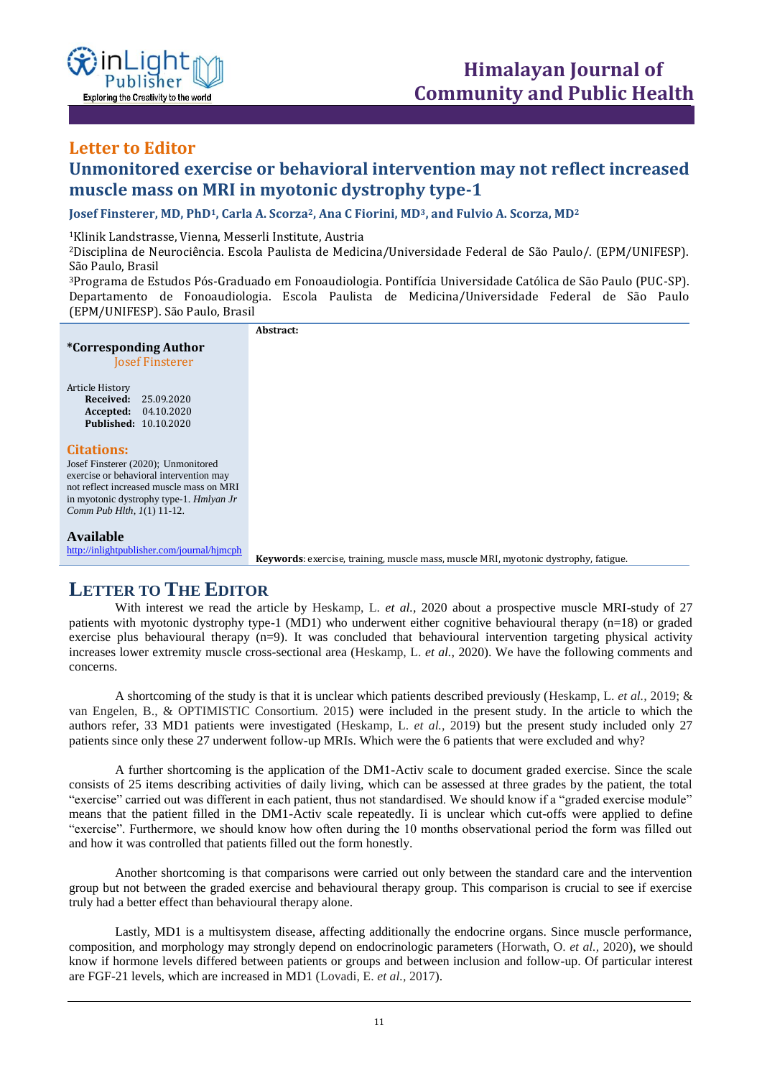

#### **Letter to Editor ISSN: XXXX-XXXX Open Access**

# **Unmonitored exercise or behavioral intervention may not reflect increased muscle mass on MRI in myotonic dystrophy type-1**

**Josef Finsterer, MD, PhD1, Carla A. Scorza2, Ana C Fiorini, MD3, and Fulvio A. Scorza, MD<sup>2</sup>**

<sup>1</sup>Klinik Landstrasse, Vienna, Messerli Institute, Austria

<sup>2</sup>Disciplina de Neurociência. Escola Paulista de Medicina/Universidade Federal de São Paulo/. (EPM/UNIFESP). São Paulo, Brasil

<sup>3</sup>Programa de Estudos Pós-Graduado em Fonoaudiologia. Pontifícia Universidade Católica de São Paulo (PUC-SP). Departamento de Fonoaudiologia. Escola Paulista de Medicina/Universidade Federal de São Paulo (EPM/UNIFESP). São Paulo, Brasil

**Abstract:**

### **\*Corresponding Author**

Josef Finsterer

# Article History<br>Received:

**Received:** 25.09.2020 **Accepted:** 04.10.2020 **Published:** 10.10.2020

#### **Citations:**

Josef Finsterer (2020); Unmonitored exercise or behavioral intervention may not reflect increased muscle mass on MRI in myotonic dystrophy type-1. *Hmlyan Jr Comm Pub Hlth, 1*(1) 11-12.

#### **Available**

<http://inlightpublisher.com/journal/hjmcph>

**Keywords**: exercise, training, muscle mass, muscle MRI, myotonic dystrophy, fatigue.

## **LETTER TO THE EDITOR**

With interest we read the article by Heskamp, L. *et al.,* 2020 about a prospective muscle MRI-study of 27 patients with myotonic dystrophy type-1 (MD1) who underwent either cognitive behavioural therapy (n=18) or graded exercise plus behavioural therapy (n=9). It was concluded that behavioural intervention targeting physical activity increases lower extremity muscle cross-sectional area (Heskamp, L. *et al.,* 2020). We have the following comments and concerns.

A shortcoming of the study is that it is unclear which patients described previously (Heskamp, L. *et al.,* 2019; & van Engelen, B., & OPTIMISTIC Consortium. 2015) were included in the present study. In the article to which the authors refer, 33 MD1 patients were investigated (Heskamp, L. *et al.,* 2019) but the present study included only 27 patients since only these 27 underwent follow-up MRIs. Which were the 6 patients that were excluded and why?

A further shortcoming is the application of the DM1-Activ scale to document graded exercise. Since the scale consists of 25 items describing activities of daily living, which can be assessed at three grades by the patient, the total "exercise" carried out was different in each patient, thus not standardised. We should know if a "graded exercise module" means that the patient filled in the DM1-Activ scale repeatedly. Ii is unclear which cut-offs were applied to define "exercise". Furthermore, we should know how often during the 10 months observational period the form was filled out and how it was controlled that patients filled out the form honestly.

Another shortcoming is that comparisons were carried out only between the standard care and the intervention group but not between the graded exercise and behavioural therapy group. This comparison is crucial to see if exercise truly had a better effect than behavioural therapy alone.

Lastly, MD1 is a multisystem disease, affecting additionally the endocrine organs. Since muscle performance, composition, and morphology may strongly depend on endocrinologic parameters (Horwath, O. *et al.,* 2020), we should know if hormone levels differed between patients or groups and between inclusion and follow-up. Of particular interest are FGF-21 levels, which are increased in MD1 (Lovadi, E. *et al.,* 2017).